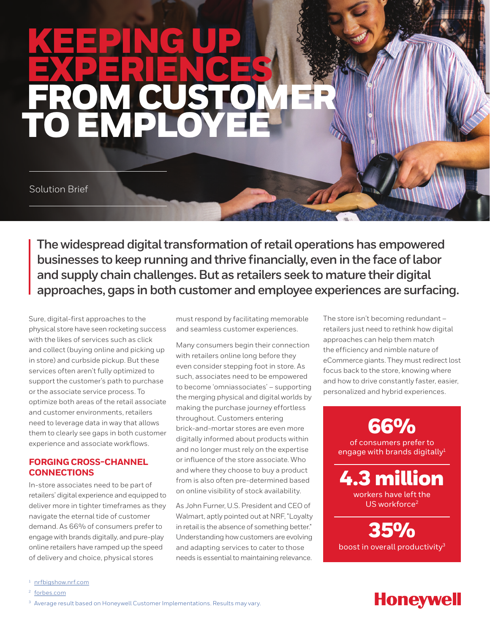# KEEPING UP EXPERIENCES FROM CUSTOMER TO EMPLOYEE

Solution Brief

**The widespread digital transformation of retail operations has empowered businesses to keep running and thrive financially, even in the face of labor and supply chain challenges. But as retailers seek to mature their digital approaches, gaps in both customer and employee experiences are surfacing.** 

Sure, digital-first approaches to the physical store have seen rocketing success with the likes of services such as click and collect (buying online and picking up in store) and curbside pickup. But these services often aren't fully optimized to support the customer's path to purchase or the associate service process. To optimize both areas of the retail associate and customer environments, retailers need to leverage data in way that allows them to clearly see gaps in both customer experience and associate workflows.

### **FORGING CROSS-CHANNEL CONNECTIONS**

In-store associates need to be part of retailers' digital experience and equipped to deliver more in tighter timeframes as they navigate the eternal tide of customer demand. As 66% of consumers prefer to engage with brands digitally, and pure-play online retailers have ramped up the speed of delivery and choice, physical stores

must respond by facilitating memorable and seamless customer experiences.

Many consumers begin their connection with retailers online long before they even consider stepping foot in store. As such, associates need to be empowered to become 'omniassociates' – supporting the merging physical and digital worlds by making the purchase journey effortless throughout. Customers entering brick-and-mortar stores are even more digitally informed about products within and no longer must rely on the expertise or influence of the store associate. Who and where they choose to buy a product from is also often pre-determined based on online visibility of stock availability.

As John Furner, U.S. President and CEO of Walmart, aptly pointed out at NRF, "Loyalty in retail is the absence of something better." Understanding how customers are evolving and adapting services to cater to those needs is essential to maintaining relevance.

The store isn't becoming redundant – retailers just need to rethink how digital approaches can help them match the efficiency and nimble nature of eCommerce giants. They must redirect lost focus back to the store, knowing where and how to drive constantly faster, easier, personalized and hybrid experiences.

66% of consumers prefer to engage with brands digitally $1$ 4.3 million workers have left the US workforce<sup>2</sup>

35% boost in overall productivity $3$ 

## **Honeywell**

<sup>1</sup> [nrfbigshow.nrf.com](mailto:https://nrfbigshow.nrf.com/session/new-world-challenges-and-promises-metaverse-retailers?subject=)

<sup>2</sup> [forbes.com](mailto:https://www.forbes.com/sites/nikkibaird/2022/01/11/2022-is-critical-for-the-retail-store/%3Fsh%3D15f7b0b578fd?subject=)

<sup>&</sup>lt;sup>3</sup> Average result based on Honeywell Customer Implementations. Results may vary.